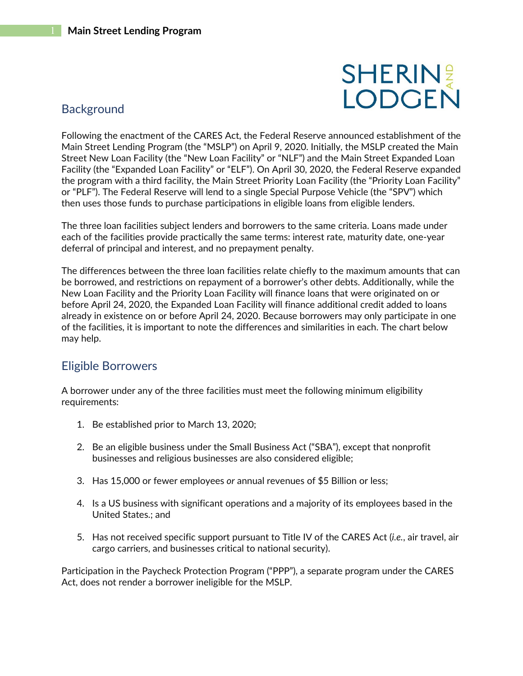# **SHERINE**

## **Background**

Following the enactment of the CARES Act, the Federal Reserve announced establishment of the Main Street Lending Program (the "MSLP") on April 9, 2020. Initially, the MSLP created the Main Street New Loan Facility (the "New Loan Facility" or "NLF") and the Main Street Expanded Loan Facility (the "Expanded Loan Facility" or "ELF"). On April 30, 2020, the Federal Reserve expanded the program with a third facility, the Main Street Priority Loan Facility (the "Priority Loan Facility" or "PLF"). The Federal Reserve will lend to a single Special Purpose Vehicle (the "SPV") which then uses those funds to purchase participations in eligible loans from eligible lenders.

The three loan facilities subject lenders and borrowers to the same criteria. Loans made under each of the facilities provide practically the same terms: interest rate, maturity date, one-year deferral of principal and interest, and no prepayment penalty.

The differences between the three loan facilities relate chiefly to the maximum amounts that can be borrowed, and restrictions on repayment of a borrower's other debts. Additionally, while the New Loan Facility and the Priority Loan Facility will finance loans that were originated on or before April 24, 2020, the Expanded Loan Facility will finance additional credit added to loans already in existence on or before April 24, 2020. Because borrowers may only participate in one of the facilities, it is important to note the differences and similarities in each. The chart below may help.

### Eligible Borrowers

A borrower under any of the three facilities must meet the following minimum eligibility requirements:

- 1. Be established prior to March 13, 2020;
- 2. Be an eligible business under the Small Business Act ("SBA"), except that nonprofit businesses and religious businesses are also considered eligible;
- 3. Has 15,000 or fewer employees *or* annual revenues of \$5 Billion or less;
- 4. Is a US business with significant operations and a majority of its employees based in the United States.; and
- 5. Has not received specific support pursuant to Title IV of the CARES Act (*i.e.*, air travel, air cargo carriers, and businesses critical to national security).

Participation in the Paycheck Protection Program ("PPP"), a separate program under the CARES Act, does not render a borrower ineligible for the MSLP.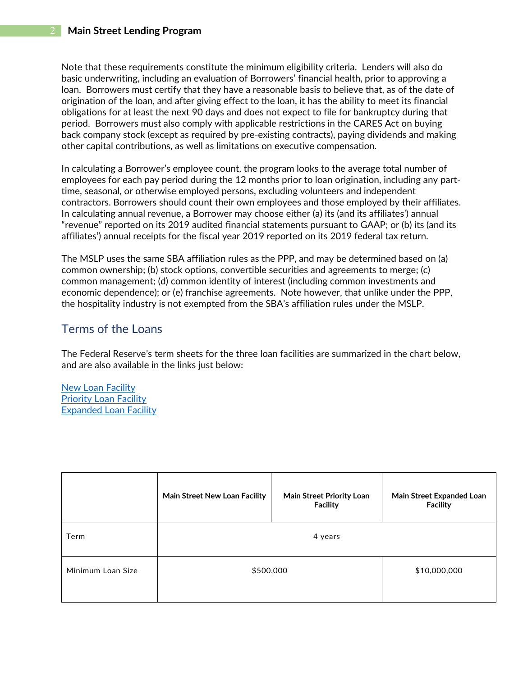Note that these requirements constitute the minimum eligibility criteria. Lenders will also do basic underwriting, including an evaluation of Borrowers' financial health, prior to approving a loan. Borrowers must certify that they have a reasonable basis to believe that, as of the date of origination of the loan, and after giving effect to the loan, it has the ability to meet its financial obligations for at least the next 90 days and does not expect to file for bankruptcy during that period. Borrowers must also comply with applicable restrictions in the CARES Act on buying back company stock (except as required by pre-existing contracts), paying dividends and making other capital contributions, as well as limitations on executive compensation.

In calculating a Borrower's employee count, the program looks to the average total number of employees for each pay period during the 12 months prior to loan origination, including any parttime, seasonal, or otherwise employed persons, excluding volunteers and independent contractors. Borrowers should count their own employees and those employed by their affiliates. In calculating annual revenue, a Borrower may choose either (a) its (and its affiliates') annual "revenue" reported on its 2019 audited financial statements pursuant to GAAP; or (b) its (and its affiliates') annual receipts for the fiscal year 2019 reported on its 2019 federal tax return.

The MSLP uses the same SBA affiliation rules as the PPP, and may be determined based on (a) common ownership; (b) stock options, convertible securities and agreements to merge; (c) common management; (d) common identity of interest (including common investments and economic dependence); or (e) franchise agreements. Note however, that unlike under the PPP, the hospitality industry is not exempted from the SBA's affiliation rules under the MSLP.

#### Terms of the Loans

The Federal Reserve's term sheets for the three loan facilities are summarized in the chart below, and are also available in the links just below:

[New Loan Facility](file://SL-FS2016/data/DOCS/051355/00000/00967164.PDF) [Priority Loan Facility](file://SL-FS2016/data/DOCS/051355/00000/00967166.PDF) [Expanded Loan Facility](file://SL-FS2016/data/DOCS/051355/00000/00967167.PDF)

|                   | Main Street New Loan Facility | Main Street Priority Loan<br><b>Facility</b> | Main Street Expanded Loan<br><b>Facility</b> |
|-------------------|-------------------------------|----------------------------------------------|----------------------------------------------|
| Term              | 4 years                       |                                              |                                              |
| Minimum Loan Size | \$500,000                     |                                              | \$10,000,000                                 |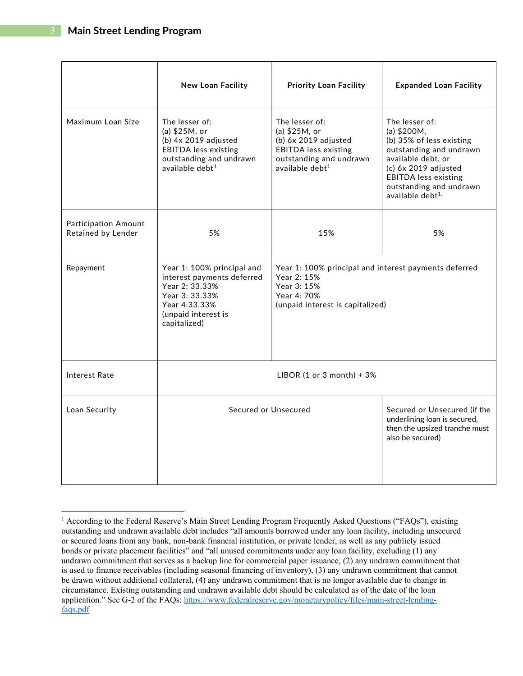|                                                   | <b>New Loan Facility</b>                                                                                                                             | <b>Priority Loan Facility</b>                                                                                                                       | <b>Expanded Loan Facility</b>                                                                                                                                                                                                 |
|---------------------------------------------------|------------------------------------------------------------------------------------------------------------------------------------------------------|-----------------------------------------------------------------------------------------------------------------------------------------------------|-------------------------------------------------------------------------------------------------------------------------------------------------------------------------------------------------------------------------------|
| Maximum Loan Size                                 | The lesser of:<br>(a) \$25M, or<br>(b) $4x 2019$ adjusted<br><b>EBITDA</b> less existing<br>outstanding and undrawn<br>available debt $1$            | The lesser of:<br>(a) \$25M, or<br>(b) $6x 2019$ adjusted<br><b>EBITDA</b> less existing<br>outstanding and undrawn<br>available debt <sup>1.</sup> | The lesser of:<br>(a) $$200M,$<br>(b) 35% of less existing<br>outstanding and undrawn<br>available debt, or<br>(c) 6x 2019 adjusted<br><b>EBITDA</b> less existing<br>outstanding and undrawn<br>available debt <sup>1.</sup> |
| <b>Participation Amount</b><br>Retained by Lender | 5%                                                                                                                                                   | 15%                                                                                                                                                 | 5%                                                                                                                                                                                                                            |
| Repayment                                         | Year 1: 100% principal and<br>interest payments deferred<br>Year 2: 33.33%<br>Year 3: 33.33%<br>Year 4:33.33%<br>(unpaid interest is<br>capitalized) | Year 1: 100% principal and interest payments deferred<br>Year 2: 15%<br>Year 3: 15%<br>Year 4: 70%<br>(unpaid interest is capitalized)              |                                                                                                                                                                                                                               |
| <b>Interest Rate</b>                              | LIBOR (1 or 3 month) + $3\%$                                                                                                                         |                                                                                                                                                     |                                                                                                                                                                                                                               |
| Loan Security                                     | Secured or Unsecured                                                                                                                                 |                                                                                                                                                     | Secured or Unsecured (if the<br>underlining loan is secured,<br>then the upsized tranche must<br>also be secured)                                                                                                             |

<span id="page-2-0"></span><sup>&</sup>lt;sup>1</sup> According to the Federal Reserve's Main Street Lending Program Frequently Asked Questions ("FAQs"), existing outstanding and undrawn available debt includes "all amounts borrowed under any loan facility, including unsecured or secured loans from any bank, non-bank financial institution, or private lender, as well as any publicly issued bonds or private placement facilities" and "all unused commitments under any loan facility, excluding (1) any undrawn commitment that serves as a backup line for commercial paper issuance, (2) any undrawn commitment that is used to finance receivables (including seasonal financing of inventory), (3) any undrawn commitment that cannot be drawn without additional collateral, (4) any undrawn commitment that is no longer available due to change in circumstance. Existing outstanding and undrawn available debt should be calculated as of the date of the loan application." See G-2 of the FAQs: [https://www.federalreserve.gov/monetarypolicy/files/main-street-lending](https://www.federalreserve.gov/monetarypolicy/files/main-street-lending-faqs.pdf)[faqs.pdf](https://www.federalreserve.gov/monetarypolicy/files/main-street-lending-faqs.pdf)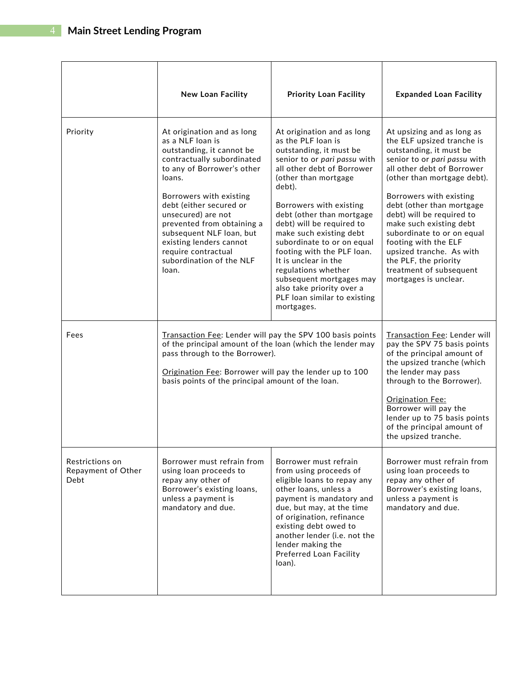|                                               | <b>New Loan Facility</b>                                                                                                                                                                                                                                                                                                                                                       | <b>Priority Loan Facility</b>                                                                                                                                                                                                                                                                                                                                                                                                                                                                                 | <b>Expanded Loan Facility</b>                                                                                                                                                                                                                                                                                                                                                                                                                                   |
|-----------------------------------------------|--------------------------------------------------------------------------------------------------------------------------------------------------------------------------------------------------------------------------------------------------------------------------------------------------------------------------------------------------------------------------------|---------------------------------------------------------------------------------------------------------------------------------------------------------------------------------------------------------------------------------------------------------------------------------------------------------------------------------------------------------------------------------------------------------------------------------------------------------------------------------------------------------------|-----------------------------------------------------------------------------------------------------------------------------------------------------------------------------------------------------------------------------------------------------------------------------------------------------------------------------------------------------------------------------------------------------------------------------------------------------------------|
| Priority                                      | At origination and as long<br>as a NLF loan is<br>outstanding, it cannot be<br>contractually subordinated<br>to any of Borrower's other<br>loans.<br>Borrowers with existing<br>debt (either secured or<br>unsecured) are not<br>prevented from obtaining a<br>subsequent NLF loan, but<br>existing lenders cannot<br>require contractual<br>subordination of the NLF<br>loan. | At origination and as long<br>as the PLF loan is<br>outstanding, it must be<br>senior to or pari passu with<br>all other debt of Borrower<br>(other than mortgage<br>debt).<br>Borrowers with existing<br>debt (other than mortgage<br>debt) will be required to<br>make such existing debt<br>subordinate to or on equal<br>footing with the PLF loan.<br>It is unclear in the<br>regulations whether<br>subsequent mortgages may<br>also take priority over a<br>PLF loan similar to existing<br>mortgages. | At upsizing and as long as<br>the ELF upsized tranche is<br>outstanding, it must be<br>senior to or pari passu with<br>all other debt of Borrower<br>(other than mortgage debt).<br>Borrowers with existing<br>debt (other than mortgage<br>debt) will be required to<br>make such existing debt<br>subordinate to or on equal<br>footing with the ELF<br>upsized tranche. As with<br>the PLF, the priority<br>treatment of subsequent<br>mortgages is unclear. |
| Fees                                          | Transaction Fee: Lender will pay the SPV 100 basis points<br>of the principal amount of the loan (which the lender may<br>pass through to the Borrower).<br>Origination Fee: Borrower will pay the lender up to 100<br>basis points of the principal amount of the loan.                                                                                                       |                                                                                                                                                                                                                                                                                                                                                                                                                                                                                                               | Transaction Fee: Lender will<br>pay the SPV 75 basis points<br>of the principal amount of<br>the upsized tranche (which<br>the lender may pass<br>through to the Borrower).<br>Origination Fee:<br>Borrower will pay the<br>lender up to 75 basis points<br>of the principal amount of<br>the upsized tranche.                                                                                                                                                  |
| Restrictions on<br>Repayment of Other<br>Debt | Borrower must refrain from<br>using loan proceeds to<br>repay any other of<br>Borrower's existing loans,<br>unless a payment is<br>mandatory and due.                                                                                                                                                                                                                          | Borrower must refrain<br>from using proceeds of<br>eligible loans to repay any<br>other loans, unless a<br>payment is mandatory and<br>due, but may, at the time<br>of origination, refinance<br>existing debt owed to<br>another lender (i.e. not the<br>lender making the<br>Preferred Loan Facility<br>loan).                                                                                                                                                                                              | Borrower must refrain from<br>using loan proceeds to<br>repay any other of<br>Borrower's existing loans,<br>unless a payment is<br>mandatory and due.                                                                                                                                                                                                                                                                                                           |